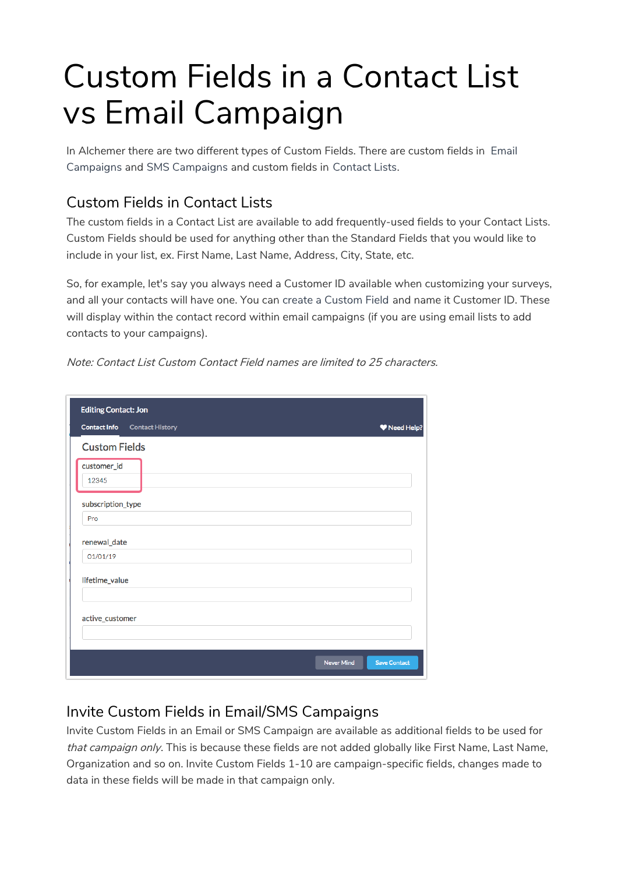## Custom Fields in a Contact List vs Email Campaign

In Alchemer there are two different types of Custom Fields. There are custom fields in Email Campaigns and SMS Campaigns and custom fields in Contact Lists.

## Custom Fields in Contact Lists

The custom fields in a Contact List are available to add frequently-used fields to your Contact Lists. Custom Fields should be used for anything other than the Standard Fields that you would like to include in your list, ex. First Name, Last Name, Address, City, State, etc.

So, for example, let's say you always need a Customer ID available when customizing your surveys, and all your contacts will have one. You can create a Custom Field and name it Customer ID. These will display within the contact record within email campaigns (if you are using email lists to add contacts to your campaigns).

| <b>Editing Contact: Jon</b>                   |                                          |
|-----------------------------------------------|------------------------------------------|
| <b>Contact Info</b><br><b>Contact History</b> | Weed Help?                               |
| <b>Custom Fields</b>                          |                                          |
| customer_id<br>12345                          |                                          |
| subscription_type<br>Pro                      |                                          |
| renewal_date                                  |                                          |
| 01/01/19                                      |                                          |
| lifetime_value                                |                                          |
| active_customer                               |                                          |
|                                               | <b>Never Mind</b><br><b>Save Contact</b> |

Note: Contact List Custom Contact Field names are limited to 25 characters.

## Invite Custom Fields in Email/SMS Campaigns

Invite Custom Fields in an Email or SMS Campaign are available as additional fields to be used for that campaign only. This is because these fields are not added globally like First Name, Last Name, Organization and so on. Invite Custom Fields 1-10 are campaign-specific fields, changes made to data in these fields will be made in that campaign only.